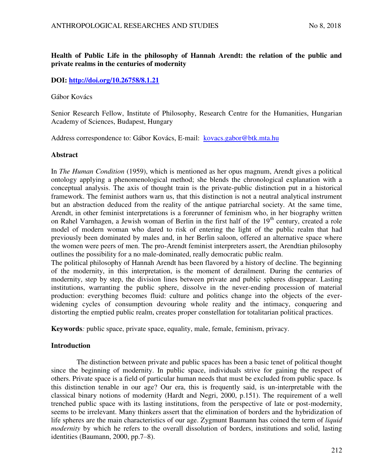## **Health of Public Life in the philosophy of Hannah Arendt: the relation of the public and private realms in the centuries of modernity**

## **DOI:<http://doi.org/10.26758/8.1.21>**

### Gábor Kovács

Senior Research Fellow, Institute of Philosophy, Research Centre for the Humanities, Hungarian Academy of Sciences, Budapest, Hungary

Address correspondence to: Gábor Kovács, E-mail: kovacs.gabor@btk.mta.hu

## **Abstract**

In *The Human Condition* (1959), which is mentioned as her opus magnum, Arendt gives a political ontology applying a phenomenological method; she blends the chronological explanation with a conceptual analysis. The axis of thought train is the private-public distinction put in a historical framework. The feminist authors warn us, that this distinction is not a neutral analytical instrument but an abstraction deduced from the reality of the antique patriarchal society. At the same time, Arendt, in other feminist interpretations is a forerunner of feminism who, in her biography written on Rahel Varnhagen, a Jewish woman of Berlin in the first half of the 19<sup>th</sup> century, created a role model of modern woman who dared to risk of entering the light of the public realm that had previously been dominated by males and, in her Berlin saloon, offered an alternative space where the women were peers of men. The pro-Arendt feminist interpreters assert, the Arendtian philosophy outlines the possibility for a no male-dominated, really democratic public realm.

The political philosophy of Hannah Arendt has been flavored by a history of decline. The beginning of the modernity, in this interpretation, is the moment of derailment. During the centuries of modernity, step by step, the division lines between private and public spheres disappear. Lasting institutions, warranting the public sphere, dissolve in the never-ending procession of material production: everything becomes fluid: culture and politics change into the objects of the everwidening cycles of consumption devouring whole reality and the intimacy, conquering and distorting the emptied public realm, creates proper constellation for totalitarian political practices.

**Keywords***:* public space, private space, equality, male, female, feminism, privacy.

## **Introduction**

The distinction between private and public spaces has been a basic tenet of political thought since the beginning of modernity. In public space, individuals strive for gaining the respect of others. Private space is a field of particular human needs that must be excluded from public space. Is this distinction tenable in our age? Our era, this is frequently said, is un-interpretable with the classical binary notions of modernity (Hardt and Negri, 2000, p.151). The requirement of a well trenched public space with its lasting institutions, from the perspective of late or post-modernity, seems to be irrelevant. Many thinkers assert that the elimination of borders and the hybridization of life spheres are the main characteristics of our age. Zygmunt Baumann has coined the term of *liquid modernity* by which he refers to the overall dissolution of borders, institutions and solid, lasting identities (Baumann, 2000, pp.7–8).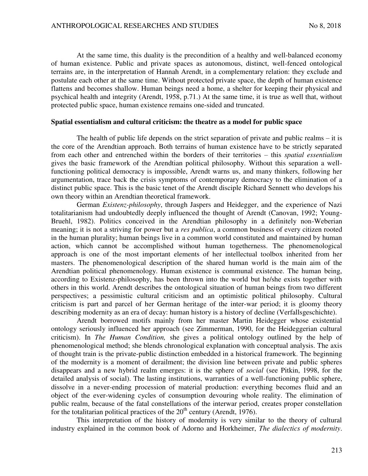At the same time, this duality is the precondition of a healthy and well-balanced economy of human existence. Public and private spaces as autonomous, distinct, well-fenced ontological terrains are, in the interpretation of Hannah Arendt, in a complementary relation: they exclude and postulate each other at the same time. Without protected private space, the depth of human existence flattens and becomes shallow. Human beings need a home, a shelter for keeping their physical and psychical health and integrity (Arendt, 1958, p.71.) At the same time, it is true as well that, without protected public space, human existence remains one-sided and truncated.

#### **Spatial essentialism and cultural criticism: the theatre as a model for public space**

The health of public life depends on the strict separation of private and public realms – it is the core of the Arendtian approach. Both terrains of human existence have to be strictly separated from each other and entrenched within the borders of their territories – this *spatial essentialism* gives the basic framework of the Arendtian political philosophy. Without this separation a wellfunctioning political democracy is impossible, Arendt warns us, and many thinkers, following her argumentation, trace back the crisis symptoms of contemporary democracy to the elimination of a distinct public space. This is the basic tenet of the Arendt disciple Richard Sennett who develops his own theory within an Arendtian theoretical framework.

German *Existenz-philosophy*, through Jaspers and Heidegger, and the experience of Nazi totalitarianism had undoubtedly deeply influenced the thought of Arendt (Canovan, 1992; Young-Bruehl, 1982). Politics conceived in the Arendtian philosophy in a definitely non-Weberian meaning; it is not a striving for power but a *res publica*, a common business of every citizen rooted in the human plurality; human beings live in a common world constituted and maintained by human action, which cannot be accomplished without human togetherness. The phenomenological approach is one of the most important elements of her intellectual toolbox inherited from her masters. The phenomenological description of the shared human world is the main aim of the Arendtian political phenomenology. Human existence is communal existence. The human being, according to Existenz-philosophy, has been thrown into the world but he/she exists together with others in this world. Arendt describes the ontological situation of human beings from two different perspectives; a pessimistic cultural criticism and an optimistic political philosophy. Cultural criticism is part and parcel of her German heritage of the inter-war period; it is gloomy theory describing modernity as an era of decay: human history is a history of decline (Verfallsgeschichte).

Arendt borrowed motifs mainly from her master Martin Heidegger whose existential ontology seriously influenced her approach (see Zimmerman, 1990, for the Heideggerian cultural criticism). In *The Human Condition,* she gives a political ontology outlined by the help of phenomenological method; she blends chronological explanation with conceptual analysis. The axis of thought train is the private-public distinction embedded in a historical framework. The beginning of the modernity is a moment of derailment; the division line between private and public spheres disappears and a new hybrid realm emerges: it is the sphere of *social* (see Pitkin, 1998, for the detailed analysis of social). The lasting institutions, warranties of a well-functioning public sphere, dissolve in a never-ending procession of material production: everything becomes fluid and an object of the ever-widening cycles of consumption devouring whole reality. The elimination of public realm, because of the fatal constellations of the interwar period, creates proper constellation for the totalitarian political practices of the  $20<sup>th</sup>$  century (Arendt, 1976).

This interpretation of the history of modernity is very similar to the theory of cultural industry explained in the common book of Adorno and Horkheimer, *The dialectics of modernity*.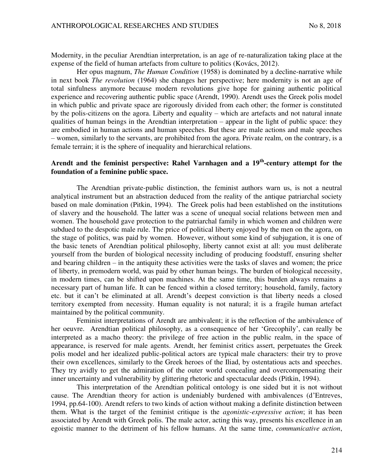Modernity, in the peculiar Arendtian interpretation, is an age of re-naturalization taking place at the expense of the field of human artefacts from culture to politics (Kovács, 2012).

Her opus magnum, *The Human Condition* (1958) is dominated by a decline-narrative while in next book *The revolution* (1964) she changes her perspective; here modernity is not an age of total sinfulness anymore because modern revolutions give hope for gaining authentic political experience and recovering authentic public space (Arendt, 1990). Arendt uses the Greek polis model in which public and private space are rigorously divided from each other; the former is constituted by the polis-citizens on the agora. Liberty and equality – which are artefacts and not natural innate qualities of human beings in the Arendtian interpretation – appear in the light of public space: they are embodied in human actions and human speeches. But these are male actions and male speeches – women, similarly to the servants, are prohibited from the agora. Private realm, on the contrary, is a female terrain; it is the sphere of inequality and hierarchical relations.

# **Arendt and the feminist perspective: Rahel Varnhagen and a 19th-century attempt for the foundation of a feminine public space.**

The Arendtian private-public distinction, the feminist authors warn us, is not a neutral analytical instrument but an abstraction deduced from the reality of the antique patriarchal society based on male domination (Pitkin, 1994). The Greek polis had been established on the institutions of slavery and the household. The latter was a scene of unequal social relations between men and women. The household gave protection to the patriarchal family in which women and children were subdued to the despotic male rule. The price of political liberty enjoyed by the men on the agora, on the stage of politics, was paid by women. However, without some kind of subjugation, it is one of the basic tenets of Arendtian political philosophy, liberty cannot exist at all: you must deliberate yourself from the burden of biological necessity including of producing foodstuff, ensuring shelter and bearing children – in the antiquity these activities were the tasks of slaves and women; the price of liberty, in premodern world, was paid by other human beings. The burden of biological necessity, in modern times, can be shifted upon machines. At the same time, this burden always remains a necessary part of human life. It can be fenced within a closed territory; household, family, factory etc. but it can't be eliminated at all. Arendt's deepest conviction is that liberty needs a closed territory exempted from necessity. Human equality is not natural; it is a fragile human artefact maintained by the political community.

Feminist interpretations of Arendt are ambivalent; it is the reflection of the ambivalence of her oeuvre. Arendtian political philosophy, as a consequence of her 'Grecophily', can really be interpreted as a macho theory: the privilege of free action in the public realm, in the space of appearance, is reserved for male agents. Arendt, her feminist critics assert, perpetuates the Greek polis model and her idealized public-political actors are typical male characters: their try to prove their own excellences, similarly to the Greek heroes of the Iliad, by ostentatious acts and speeches. They try avidly to get the admiration of the outer world concealing and overcompensating their inner uncertainty and vulnerability by glittering rhetoric and spectacular deeds (Pitkin, 1994).

This interpretation of the Arendtian political ontology is one sided but it is not without cause. The Arendtian theory for action is undeniably burdened with ambivalences (d'Entreves, 1994, pp.64-100). Arendt refers to two kinds of action without making a definite distinction between them. What is the target of the feminist critique is the *agonistic-expressive action*; it has been associated by Arendt with Greek polis. The male actor, acting this way, presents his excellence in an egoistic manner to the detriment of his fellow humans. At the same time, *communicative action*,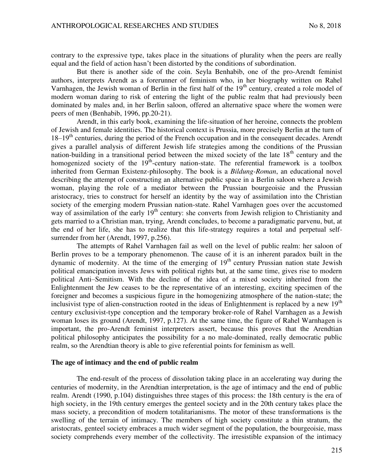contrary to the expressive type, takes place in the situations of plurality when the peers are really equal and the field of action hasn't been distorted by the conditions of subordination.

But there is another side of the coin. Seyla Benhabib, one of the pro-Arendt feminist authors, interprets Arendt as a forerunner of feminism who, in her biography written on Rahel Varnhagen, the Jewish woman of Berlin in the first half of the  $19<sup>th</sup>$  century, created a role model of modern woman daring to risk of entering the light of the public realm that had previously been dominated by males and, in her Berlin saloon, offered an alternative space where the women were peers of men (Benhabib, 1996, pp.20-21).

Arendt, in this early book, examining the life-situation of her heroine, connects the problem of Jewish and female identities. The historical context is Prussia, more precisely Berlin at the turn of  $18-19<sup>th</sup>$  centuries, during the period of the French occupation and in the consequent decades. Arendt gives a parallel analysis of different Jewish life strategies among the conditions of the Prussian nation-building in a transitional period between the mixed society of the late  $18<sup>th</sup>$  century and the homogenized society of the  $19<sup>th</sup>$ -century nation-state. The referential framework is a toolbox inherited from German Existenz-philosophy. The book is a *Bildung-Roman*, an educational novel describing the attempt of constructing an alternative public space in a Berlin saloon where a Jewish woman, playing the role of a mediator between the Prussian bourgeoisie and the Prussian aristocracy, tries to construct for herself an identity by the way of assimilation into the Christian society of the emerging modern Prussian nation-state. Rahel Varnhagen goes over the accustomed way of assimilation of the early 19<sup>th</sup> century: she converts from Jewish religion to Christianity and gets married to a Christian man, trying, Arendt concludes, to become a paradigmatic parvenu, but, at the end of her life, she has to realize that this life-strategy requires a total and perpetual selfsurrender from her (Arendt, 1997, p.256).

The attempts of Rahel Varnhagen fail as well on the level of public realm: her saloon of Berlin proves to be a temporary phenomenon. The cause of it is an inherent paradox built in the dynamic of modernity. At the time of the emerging of  $19<sup>th</sup>$  century Prussian nation state Jewish political emancipation invests Jews with political rights but, at the same time, gives rise to modern political Anti–Semitism. With the decline of the idea of a mixed society inherited from the Enlightenment the Jew ceases to be the representative of an interesting, exciting specimen of the foreigner and becomes a suspicious figure in the homogenizing atmosphere of the nation-state; the inclusivist type of alien-construction rooted in the ideas of Enlightenment is replaced by a new  $19<sup>th</sup>$ century exclusivist-type conception and the temporary broker-role of Rahel Varnhagen as a Jewish woman loses its ground (Arendt, 1997, p.127). At the same time, the figure of Rahel Warnhagen is important, the pro-Arendt feminist interpreters assert, because this proves that the Arendtian political philosophy anticipates the possibility for a no male-dominated, really democratic public realm, so the Arendtian theory is able to give referential points for feminism as well.

#### **The age of intimacy and the end of public realm**

The end-result of the process of dissolution taking place in an accelerating way during the centuries of modernity, in the Arendtian interpretation, is the age of intimacy and the end of public realm. Arendt (1990, p.104) distinguishes three stages of this process: the 18th century is the era of high society, in the 19th century emerges the genteel society and in the 20th century takes place the mass society, a precondition of modern totalitarianisms. The motor of these transformations is the swelling of the terrain of intimacy. The members of high society constitute a thin stratum, the aristocrats, genteel society embraces a much wider segment of the population, the bourgeoisie, mass society comprehends every member of the collectivity. The irresistible expansion of the intimacy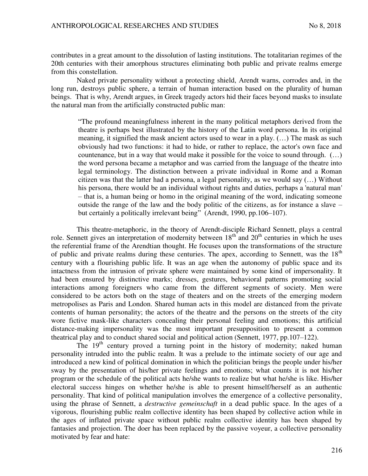contributes in a great amount to the dissolution of lasting institutions. The totalitarian regimes of the 20th centuries with their amorphous structures eliminating both public and private realms emerge from this constellation.

Naked private personality without a protecting shield, Arendt warns, corrodes and, in the long run, destroys public sphere, a terrain of human interaction based on the plurality of human beings. That is why, Arendt argues, in Greek tragedy actors hid their faces beyond masks to insulate the natural man from the artificially constructed public man:

"The profound meaningfulness inherent in the many political metaphors derived from the theatre is perhaps best illustrated by the history of the Latin word persona. In its original meaning, it signified the mask ancient actors used to wear in a play. (…) The mask as such obviously had two functions: it had to hide, or rather to replace, the actor's own face and countenance, but in a way that would make it possible for the voice to sound through. (…) the word persona became a metaphor and was carried from the language of the theatre into legal terminology. The distinction between a private individual in Rome and a Roman citizen was that the latter had a persona, a legal personality, as we would say  $(...)$  Without his persona, there would be an individual without rights and duties, perhaps a 'natural man' – that is, a human being or homo in the original meaning of the word, indicating someone outside the range of the law and the body politic of the citizens, as for instance a slave – but certainly a politically irrelevant being" (Arendt, 1990, pp.106–107).

This theatre-metaphoric, in the theory of Arendt-disciple Richard Sennett, plays a central role. Sennett gives an interpretation of modernity between 18<sup>th</sup> and 20<sup>th</sup> centuries in which he uses the referential frame of the Arendtian thought. He focuses upon the transformations of the structure of public and private realms during these centuries. The apex, according to Sennett, was the 18<sup>th</sup> century with a flourishing public life. It was an age when the autonomy of public space and its intactness from the intrusion of private sphere were maintained by some kind of impersonality. It had been ensured by distinctive marks; dresses, gestures, behavioral patterns promoting social interactions among foreigners who came from the different segments of society. Men were considered to be actors both on the stage of theaters and on the streets of the emerging modern metropolises as Paris and London. Shared human acts in this model are distanced from the private contents of human personality; the actors of the theatre and the persons on the streets of the city wore fictive mask-like characters concealing their personal feeling and emotions; this artificial distance-making impersonality was the most important presupposition to present a common theatrical play and to conduct shared social and political action (Sennett, 1977, pp.107–122).

The 19<sup>th</sup> century proved a turning point in the history of modernity; naked human personality intruded into the public realm. It was a prelude to the intimate society of our age and introduced a new kind of political domination in which the politician brings the people under his/her sway by the presentation of his/her private feelings and emotions; what counts it is not his/her program or the schedule of the political acts he/she wants to realize but what he/she is like. His/her electoral success hinges on whether he/she is able to present himself/herself as an authentic personality. That kind of political manipulation involves the emergence of a collective personality, using the phrase of Sennett, a *destructive gemeinschaft* in a dead public space. In the ages of a vigorous, flourishing public realm collective identity has been shaped by collective action while in the ages of inflated private space without public realm collective identity has been shaped by fantasies and projection. The doer has been replaced by the passive voyeur, a collective personality motivated by fear and hate: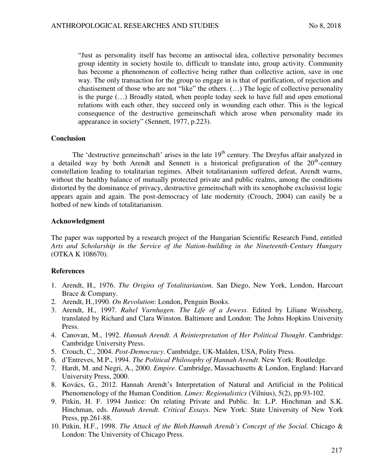"Just as personality itself has become an antisocial idea, collective personality becomes group identity in society hostile to, difficult to translate into, group activity. Community has become a phenomenon of collective being rather than collective action, save in one way. The only transaction for the group to engage in is that of purification, of rejection and chastisement of those who are not "like" the others. (…) The logic of collective personality is the purge (…) Broadly stated, when people today seek to have full and open emotional relations with each other, they succeed only in wounding each other. This is the logical consequence of the destructive gemeinschaft which arose when personality made its appearance in society" (Sennett, 1977, p.223).

### **Conclusion**

The 'destructive gemeinschaft' arises in the late 19<sup>th</sup> century. The Dreyfus affair analyzed in a detailed way by both Arendt and Sennett is a historical prefiguration of the  $20<sup>th</sup>$ -century constellation leading to totalitarian regimes. Albeit totalitarianism suffered defeat, Arendt warns, without the healthy balance of mutually protected private and public realms, among the conditions distorted by the dominance of privacy, destructive gemeinschaft with its xenophobe exclusivist logic appears again and again. The post-democracy of late modernity (Crouch, 2004) can easily be a hotbed of new kinds of totalitarianism.

### **Acknowledgment**

The paper was supported by a research project of the Hungarian Scientific Research Fund, entitled *Arts and Scholarship in the Service of the Nation-building in the Nineteenth-Century Hungary* (OTKA K 108670).

## **References**

- 1. Arendt, H., 1976. *The Origins of Totalitarianism.* San Diego, New York, London, Harcourt Brace & Company.
- 2. Arendt, H.,1990. *On Revolution*: London, Penguin Books.
- 3. Arendt, H., 1997. *Rahel Varnhagen. The Life of a Jewess*. Edited by Liliane Weissberg, translated by Richard and Clara Winston. Baltimore and London: The Johns Hopkins University Press.
- 4. Canovan, M., 1992. *Hannah Arendt. A Reinterpretation of Her Political Thought*. Cambridge: Cambridge University Press.
- 5. Crouch, C., 2004. *Post-Democracy*. Cambridge, UK-Malden, USA, Polity Press.
- 6. d'Entreves, M.P., 1994. *The Political Philosophy of Hannah Arendt*. New York: Routledge.
- 7. Hardt, M. and Negri, A., 2000. *Empire*. Cambridge, Massachusetts & London, England: Harvard University Press, 2000.
- 8. Kovács, G., 2012. Hannah Arendt's Interpretation of Natural and Artificial in the Political Phenomenology of the Human Condition. *Limes: Regionalistics* (Vilnius), 5(2), pp.93-102.
- 9. Pitkin, H. F. 1994 Justice: On relating Private and Public. In: L.P. Hinchman and S.K. Hinchman, eds. *Hannah Arendt. Critical Essays*. New York: State University of New York Press, pp.261-88.
- 10. Pitkin, H.F., 1998. *The Attack of the Blob.Hannah Arendt's Concept of the Social.* Chicago & London: The University of Chicago Press.